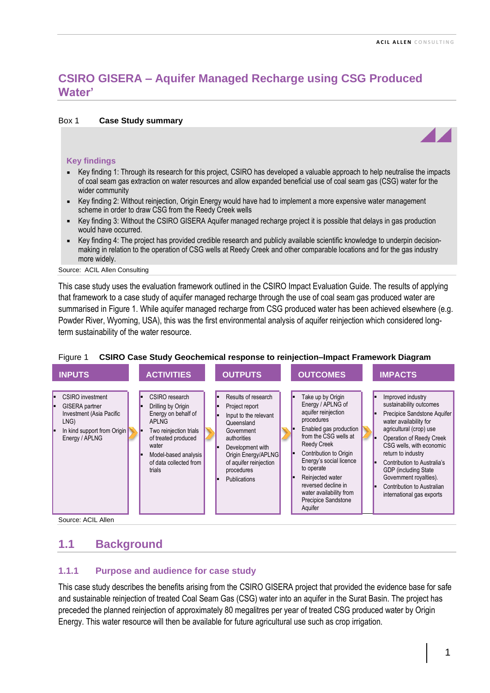# **CSIRO GISERA – Aquifer Managed Recharge using CSG Produced Water'**

#### Box 1 **Case Study summary**

#### **Key findings**

- Key finding 1: Through its research for this project, CSIRO has developed a valuable approach to help neutralise the impacts of coal seam gas extraction on water resources and allow expanded beneficial use of coal seam gas (CSG) water for the wider community
- Key finding 2: Without reinjection, Origin Energy would have had to implement a more expensive water management scheme in order to draw CSG from the Reedy Creek wells
- Key finding 3: Without the CSIRO GISERA Aquifer managed recharge project it is possible that delays in gas production would have occurred.
- Key finding 4: The project has provided credible research and publicly available scientific knowledge to underpin decisionmaking in relation to the operation of CSG wells at Reedy Creek and other comparable locations and for the gas industry more widely.

Source: ACIL Allen Consulting

This case study uses the evaluation framework outlined in the CSIRO Impact Evaluation Guide. The results of applying that framework to a case study of aquifer managed recharge through the use of coal seam gas produced water are summarised in Figure 1. While aquifer managed recharge from CSG produced water has been achieved elsewhere (e.g. Powder River, Wyoming, USA), this was the first environmental analysis of aquifer reinjection which considered longterm sustainability of the water resource.



### Figure 1 **CSIRO Case Study Geochemical response to reinjection–Impact Framework Diagram**

Source: ACIL Allen

## **1.1 Background**

### **1.1.1 Purpose and audience for case study**

This case study describes the benefits arising from the CSIRO GISERA project that provided the evidence base for safe and sustainable reinjection of treated Coal Seam Gas (CSG) water into an aquifer in the Surat Basin. The project has preceded the planned reinjection of approximately 80 megalitres per year of treated CSG produced water by Origin Energy. This water resource will then be available for future agricultural use such as crop irrigation.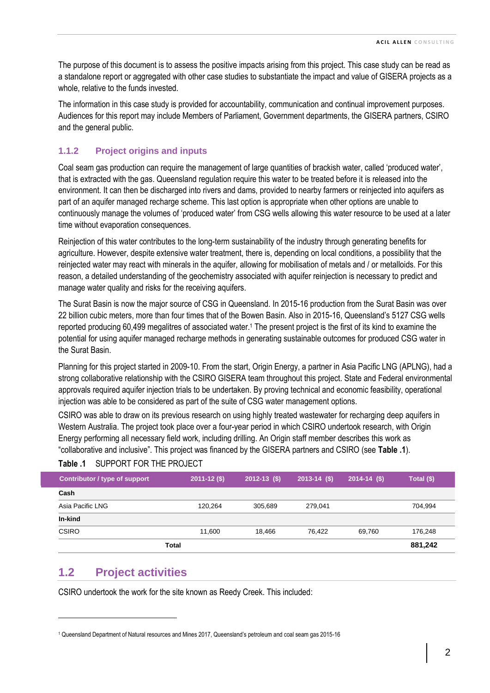The purpose of this document is to assess the positive impacts arising from this project. This case study can be read as a standalone report or aggregated with other case studies to substantiate the impact and value of GISERA projects as a whole, relative to the funds invested.

The information in this case study is provided for accountability, communication and continual improvement purposes. Audiences for this report may include Members of Parliament, Government departments, the GISERA partners, CSIRO and the general public.

## **1.1.2 Project origins and inputs**

Coal seam gas production can require the management of large quantities of brackish water, called 'produced water', that is extracted with the gas. Queensland regulation require this water to be treated before it is released into the environment. It can then be discharged into rivers and dams, provided to nearby farmers or reinjected into aquifers as part of an aquifer managed recharge scheme. This last option is appropriate when other options are unable to continuously manage the volumes of 'produced water' from CSG wells allowing this water resource to be used at a later time without evaporation consequences.

Reinjection of this water contributes to the long-term sustainability of the industry through generating benefits for agriculture. However, despite extensive water treatment, there is, depending on local conditions, a possibility that the reinjected water may react with minerals in the aquifer, allowing for mobilisation of metals and / or metalloids. For this reason, a detailed understanding of the geochemistry associated with aquifer reinjection is necessary to predict and manage water quality and risks for the receiving aquifers.

The Surat Basin is now the major source of CSG in Queensland. In 2015-16 production from the Surat Basin was over 22 billion cubic meters, more than four times that of the Bowen Basin. Also in 2015-16, Queensland's 5127 CSG wells reported producing 60,499 megalitres of associated water.<sup>1</sup> The present project is the first of its kind to examine the potential for using aquifer managed recharge methods in generating sustainable outcomes for produced CSG water in the Surat Basin.

Planning for this project started in 2009-10. From the start, Origin Energy, a partner in Asia Pacific LNG (APLNG), had a strong collaborative relationship with the CSIRO GISERA team throughout this project. State and Federal environmental approvals required aquifer injection trials to be undertaken. By proving technical and economic feasibility, operational injection was able to be considered as part of the suite of CSG water management options.

CSIRO was able to draw on its previous research on using highly treated wastewater for recharging deep aquifers in Western Australia. The project took place over a four-year period in which CSIRO undertook research, with Origin Energy performing all necessary field work, including drilling. An Origin staff member describes this work as "collaborative and inclusive". This project was financed by the GISERA partners and CSIRO (see **[Table](#page-1-0) .1**).

| <b>Contributor / type of support</b> | $2011 - 12($ \$) | $2012 - 13$ (\$) | $2013 - 14$ (\$) | $2014 - 14$ (\$) | Total (\$) |
|--------------------------------------|------------------|------------------|------------------|------------------|------------|
| Cash                                 |                  |                  |                  |                  |            |
| Asia Pacific LNG                     | 120,264          | 305.689          | 279.041          |                  | 704.994    |
| In-kind                              |                  |                  |                  |                  |            |
| <b>CSIRO</b>                         | 11,600           | 18.466           | 76.422           | 69,760           | 176,248    |
| Total                                |                  |                  |                  |                  | 881,242    |

## <span id="page-1-0"></span>**Table .1** SUPPORT FOR THE PROJECT

## **1.2 Project activities**

CSIRO undertook the work for the site known as Reedy Creek. This included:

<sup>1</sup> Queensland Department of Natural resources and Mines 2017, Queensland's petroleum and coal seam gas 2015-16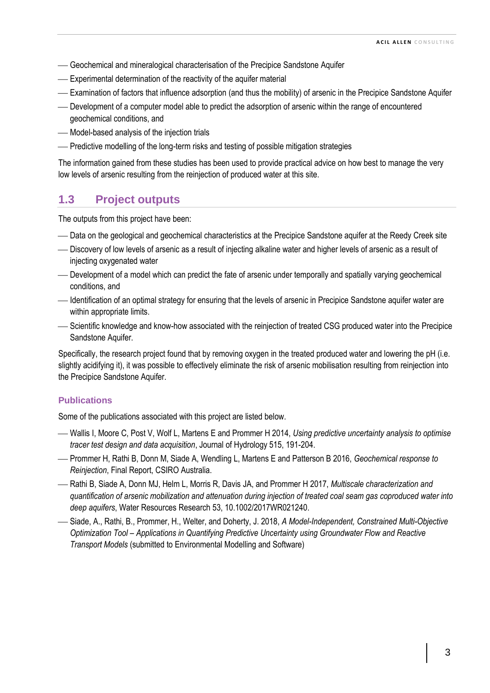- ⎯ Geochemical and mineralogical characterisation of the Precipice Sandstone Aquifer
- ⎯ Experimental determination of the reactivity of the aquifer material
- ⎯ Examination of factors that influence adsorption (and thus the mobility) of arsenic in the Precipice Sandstone Aquifer
- ⎯ Development of a computer model able to predict the adsorption of arsenic within the range of encountered geochemical conditions, and
- Model-based analysis of the injection trials
- ⎯ Predictive modelling of the long-term risks and testing of possible mitigation strategies

The information gained from these studies has been used to provide practical advice on how best to manage the very low levels of arsenic resulting from the reinjection of produced water at this site.

# **1.3 Project outputs**

The outputs from this project have been:

- Data on the geological and geochemical characteristics at the Precipice Sandstone aquifer at the Reedy Creek site
- ⎯ Discovery of low levels of arsenic as a result of injecting alkaline water and higher levels of arsenic as a result of injecting oxygenated water
- Development of a model which can predict the fate of arsenic under temporally and spatially varying geochemical conditions, and
- Identification of an optimal strategy for ensuring that the levels of arsenic in Precipice Sandstone aquifer water are within appropriate limits.
- ⎯ Scientific knowledge and know-how associated with the reinjection of treated CSG produced water into the Precipice Sandstone Aquifer.

Specifically, the research project found that by removing oxygen in the treated produced water and lowering the pH (i.e. slightly acidifying it), it was possible to effectively eliminate the risk of arsenic mobilisation resulting from reinjection into the Precipice Sandstone Aquifer.

### **Publications**

Some of the publications associated with this project are listed below.

- ⎯ Wallis I, Moore C, Post V, Wolf L, Martens E and Prommer H 2014, *Using predictive uncertainty analysis to optimise tracer test design and data acquisition*, Journal of Hydrology 515, 191-204.
- ⎯ Prommer H, Rathi B, Donn M, Siade A, Wendling L, Martens E and Patterson B 2016, *Geochemical response to Reinjection*, Final Report, CSIRO Australia.
- ⎯ Rathi B, Siade A, Donn MJ, Helm L, Morris R, Davis JA, and Prommer H 2017, *Multiscale characterization and quantification of arsenic mobilization and attenuation during injection of treated coal seam gas coproduced water into deep aquifers*, Water Resources Research 53, 10.1002/2017WR021240.
- ⎯ Siade, A., Rathi, B., Prommer, H., Welter, and Doherty, J. 2018, *A Model-Independent, Constrained Multi-Objective Optimization Tool – Applications in Quantifying Predictive Uncertainty using Groundwater Flow and Reactive Transport Models* (submitted to Environmental Modelling and Software)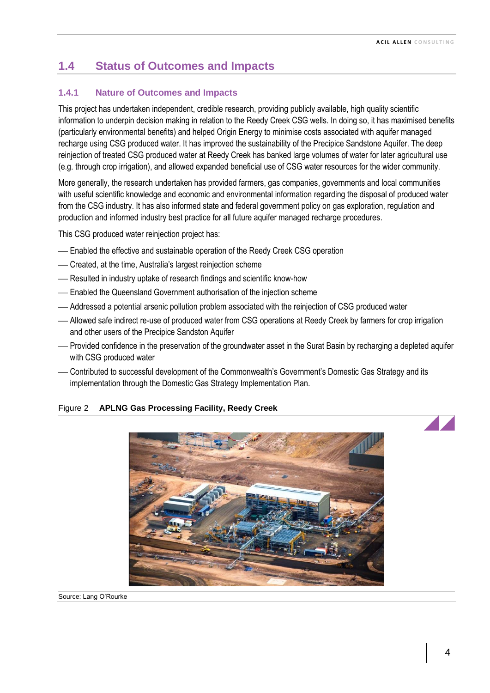# **1.4 Status of Outcomes and Impacts**

### **1.4.1 Nature of Outcomes and Impacts**

This project has undertaken independent, credible research, providing publicly available, high quality scientific information to underpin decision making in relation to the Reedy Creek CSG wells. In doing so, it has maximised benefits (particularly environmental benefits) and helped Origin Energy to minimise costs associated with aquifer managed recharge using CSG produced water. It has improved the sustainability of the Precipice Sandstone Aquifer. The deep reinjection of treated CSG produced water at Reedy Creek has banked large volumes of water for later agricultural use (e.g. through crop irrigation), and allowed expanded beneficial use of CSG water resources for the wider community.

More generally, the research undertaken has provided farmers, gas companies, governments and local communities with useful scientific knowledge and economic and environmental information regarding the disposal of produced water from the CSG industry. It has also informed state and federal government policy on gas exploration, regulation and production and informed industry best practice for all future aquifer managed recharge procedures.

This CSG produced water reinjection project has:

- Enabled the effective and sustainable operation of the Reedy Creek CSG operation
- Created, at the time, Australia's largest reinjection scheme
- Resulted in industry uptake of research findings and scientific know-how
- Enabled the Queensland Government authorisation of the injection scheme
- ⎯ Addressed a potential arsenic pollution problem associated with the reinjection of CSG produced water
- ⎯ Allowed safe indirect re-use of produced water from CSG operations at Reedy Creek by farmers for crop irrigation and other users of the Precipice Sandston Aquifer
- ⎯ Provided confidence in the preservation of the groundwater asset in the Surat Basin by recharging a depleted aquifer with CSG produced water
- ⎯ Contributed to successful development of the Commonwealth's Government's Domestic Gas Strategy and its implementation through the Domestic Gas Strategy Implementation Plan.

#### Figure 2 **APLNG Gas Processing Facility, Reedy Creek**

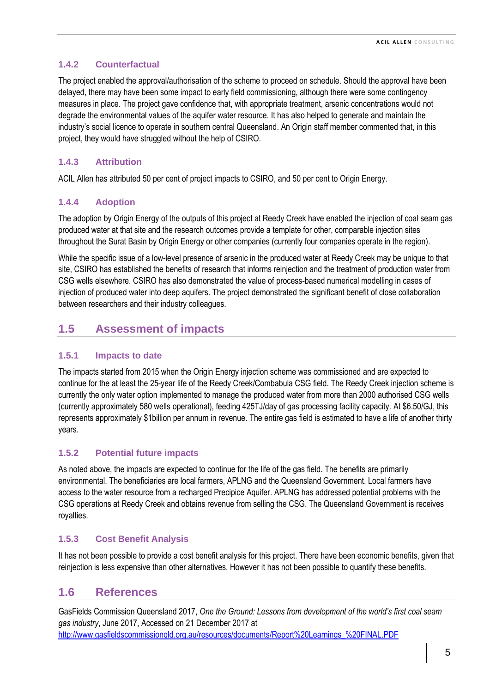## **1.4.2 Counterfactual**

The project enabled the approval/authorisation of the scheme to proceed on schedule. Should the approval have been delayed, there may have been some impact to early field commissioning, although there were some contingency measures in place. The project gave confidence that, with appropriate treatment, arsenic concentrations would not degrade the environmental values of the aquifer water resource. It has also helped to generate and maintain the industry's social licence to operate in southern central Queensland. An Origin staff member commented that, in this project, they would have struggled without the help of CSIRO.

## **1.4.3 Attribution**

ACIL Allen has attributed 50 per cent of project impacts to CSIRO, and 50 per cent to Origin Energy.

## **1.4.4 Adoption**

The adoption by Origin Energy of the outputs of this project at Reedy Creek have enabled the injection of coal seam gas produced water at that site and the research outcomes provide a template for other, comparable injection sites throughout the Surat Basin by Origin Energy or other companies (currently four companies operate in the region).

While the specific issue of a low-level presence of arsenic in the produced water at Reedy Creek may be unique to that site, CSIRO has established the benefits of research that informs reinjection and the treatment of production water from CSG wells elsewhere. CSIRO has also demonstrated the value of process-based numerical modelling in cases of injection of produced water into deep aquifers. The project demonstrated the significant benefit of close collaboration between researchers and their industry colleagues.

# **1.5 Assessment of impacts**

## **1.5.1 Impacts to date**

The impacts started from 2015 when the Origin Energy injection scheme was commissioned and are expected to continue for the at least the 25-year life of the Reedy Creek/Combabula CSG field. The Reedy Creek injection scheme is currently the only water option implemented to manage the produced water from more than 2000 authorised CSG wells (currently approximately 580 wells operational), feeding 425TJ/day of gas processing facility capacity. At \$6.50/GJ, this represents approximately \$1billion per annum in revenue. The entire gas field is estimated to have a life of another thirty years.

## **1.5.2 Potential future impacts**

As noted above, the impacts are expected to continue for the life of the gas field. The benefits are primarily environmental. The beneficiaries are local farmers, APLNG and the Queensland Government. Local farmers have access to the water resource from a recharged Precipice Aquifer. APLNG has addressed potential problems with the CSG operations at Reedy Creek and obtains revenue from selling the CSG. The Queensland Government is receives royalties.

## **1.5.3 Cost Benefit Analysis**

It has not been possible to provide a cost benefit analysis for this project. There have been economic benefits, given that reinjection is less expensive than other alternatives. However it has not been possible to quantify these benefits.

## **1.6 References**

GasFields Commission Queensland 2017, *One the Ground: Lessons from development of the world's first coal seam gas industry*, June 2017, Accessed on 21 December 2017 at http://www.gasfieldscommissiongld.org.au/resources/documents/Report%20Learnings\_%20FINAL.PDF